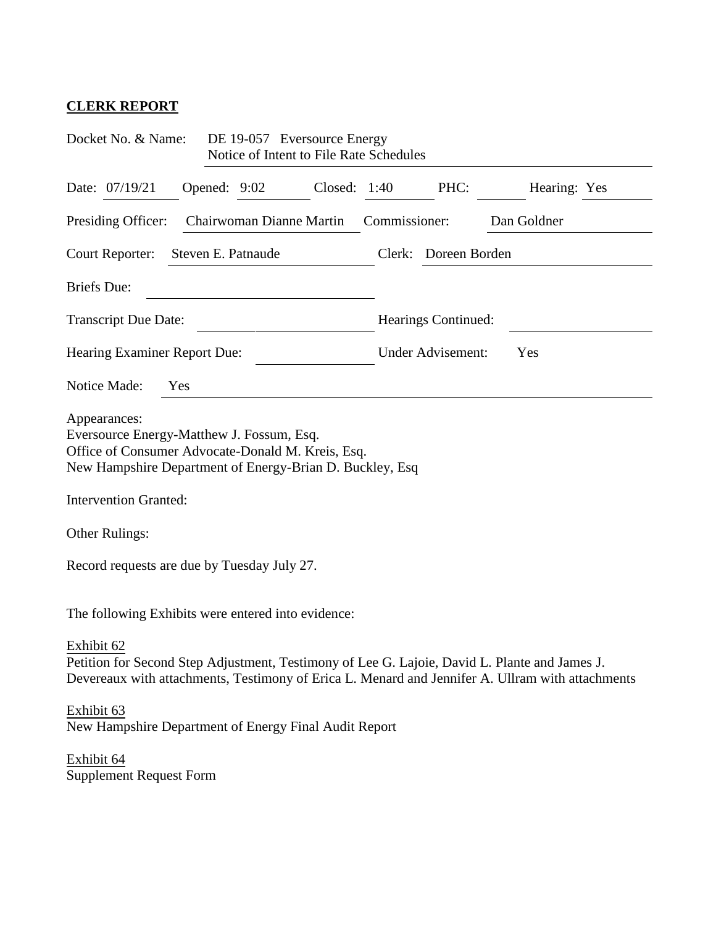## **CLERK REPORT**

| Docket No. & Name:<br>DE 19-057 Eversource Energy<br>Notice of Intent to File Rate Schedules                                                                                                                    |                                                    |              |  |              |               |                                 |              |  |
|-----------------------------------------------------------------------------------------------------------------------------------------------------------------------------------------------------------------|----------------------------------------------------|--------------|--|--------------|---------------|---------------------------------|--------------|--|
|                                                                                                                                                                                                                 | Date: 07/19/21                                     | Opened: 9:02 |  | Closed: 1:40 |               | PHC:                            | Hearing: Yes |  |
| Presiding Officer:<br>Chairwoman Dianne Martin                                                                                                                                                                  |                                                    |              |  |              | Commissioner: |                                 | Dan Goldner  |  |
| Steven E. Patnaude<br>Clerk: Doreen Borden<br>Court Reporter:                                                                                                                                                   |                                                    |              |  |              |               |                                 |              |  |
| <b>Briefs</b> Due:                                                                                                                                                                                              |                                                    |              |  |              |               |                                 |              |  |
| <b>Transcript Due Date:</b>                                                                                                                                                                                     |                                                    |              |  |              |               | Hearings Continued:             |              |  |
| Hearing Examiner Report Due:                                                                                                                                                                                    |                                                    |              |  |              |               | <b>Under Advisement:</b><br>Yes |              |  |
| Notice Made:<br>Yes                                                                                                                                                                                             |                                                    |              |  |              |               |                                 |              |  |
| Appearances:<br>Eversource Energy-Matthew J. Fossum, Esq.<br>Office of Consumer Advocate-Donald M. Kreis, Esq.<br>New Hampshire Department of Energy-Brian D. Buckley, Esq.<br><b>Intervention Granted:</b>     |                                                    |              |  |              |               |                                 |              |  |
| Other Rulings:                                                                                                                                                                                                  |                                                    |              |  |              |               |                                 |              |  |
| Record requests are due by Tuesday July 27.                                                                                                                                                                     |                                                    |              |  |              |               |                                 |              |  |
|                                                                                                                                                                                                                 | The following Exhibits were entered into evidence: |              |  |              |               |                                 |              |  |
| Exhibit 62<br>Petition for Second Step Adjustment, Testimony of Lee G. Lajoie, David L. Plante and James J.<br>Devereaux with attachments, Testimony of Erica L. Menard and Jennifer A. Ullram with attachments |                                                    |              |  |              |               |                                 |              |  |
| Exhibit 63<br>New Hampshire Department of Energy Final Audit Report                                                                                                                                             |                                                    |              |  |              |               |                                 |              |  |
| Exhibit 64                                                                                                                                                                                                      | <b>Supplement Request Form</b>                     |              |  |              |               |                                 |              |  |